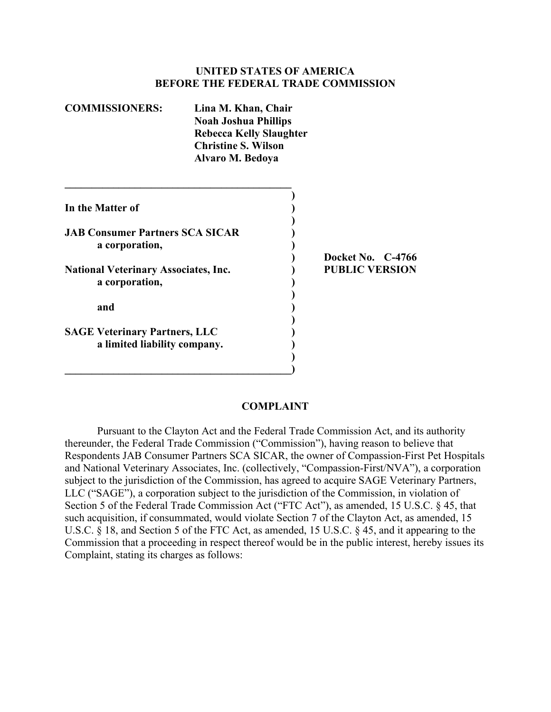### **UNITED STATES OF AMERICA BEFORE THE FEDERAL TRADE COMMISSION**

| <b>COMMISSIONERS:</b>                                                | Lina M. Khan, Chair<br><b>Noah Joshua Phillips</b><br><b>Rebecca Kelly Slaughter</b><br><b>Christine S. Wilson</b><br>Alvaro M. Bedoya |                       |
|----------------------------------------------------------------------|----------------------------------------------------------------------------------------------------------------------------------------|-----------------------|
| In the Matter of                                                     |                                                                                                                                        |                       |
| <b>JAB Consumer Partners SCA SICAR</b><br>a corporation,             |                                                                                                                                        | Docket No. C-4766     |
| <b>National Veterinary Associates, Inc.</b><br>a corporation,        |                                                                                                                                        | <b>PUBLIC VERSION</b> |
| and                                                                  |                                                                                                                                        |                       |
| <b>SAGE Veterinary Partners, LLC</b><br>a limited liability company. |                                                                                                                                        |                       |

## **COMPLAINT**

Pursuant to the Clayton Act and the Federal Trade Commission Act, and its authority thereunder, the Federal Trade Commission ("Commission"), having reason to believe that Respondents JAB Consumer Partners SCA SICAR, the owner of Compassion-First Pet Hospitals and National Veterinary Associates, Inc. (collectively, "Compassion-First/NVA"), a corporation subject to the jurisdiction of the Commission, has agreed to acquire SAGE Veterinary Partners, LLC ("SAGE"), a corporation subject to the jurisdiction of the Commission, in violation of Section 5 of the Federal Trade Commission Act ("FTC Act"), as amended, 15 U.S.C. § 45, that such acquisition, if consummated, would violate Section 7 of the Clayton Act, as amended, 15 U.S.C. § 18, and Section 5 of the FTC Act, as amended, 15 U.S.C. § 45, and it appearing to the Commission that a proceeding in respect thereof would be in the public interest, hereby issues its Complaint, stating its charges as follows: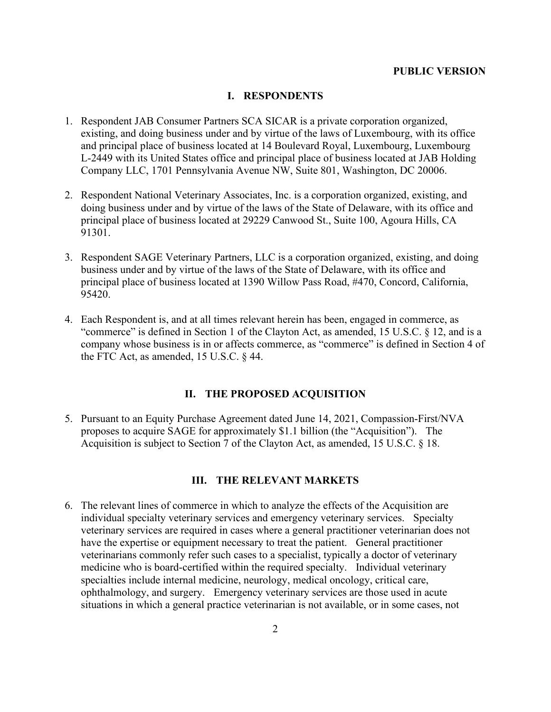#### **PUBLIC VERSION**

#### **I. RESPONDENTS**

- 1. Respondent JAB Consumer Partners SCA SICAR is a private corporation organized, existing, and doing business under and by virtue of the laws of Luxembourg, with its office and principal place of business located at 14 Boulevard Royal, Luxembourg, Luxembourg L-2449 with its United States office and principal place of business located at JAB Holding Company LLC, 1701 Pennsylvania Avenue NW, Suite 801, Washington, DC 20006.
- 2. Respondent National Veterinary Associates, Inc. is a corporation organized, existing, and doing business under and by virtue of the laws of the State of Delaware, with its office and principal place of business located at 29229 Canwood St., Suite 100, Agoura Hills, CA 91301.
- 3. Respondent SAGE Veterinary Partners, LLC is a corporation organized, existing, and doing business under and by virtue of the laws of the State of Delaware, with its office and principal place of business located at 1390 Willow Pass Road, #470, Concord, California, 95420.
- 4. Each Respondent is, and at all times relevant herein has been, engaged in commerce, as "commerce" is defined in Section 1 of the Clayton Act, as amended, 15 U.S.C. § 12, and is a company whose business is in or affects commerce, as "commerce" is defined in Section 4 of the FTC Act, as amended, 15 U.S.C. § 44.

#### **II. THE PROPOSED ACQUISITION**

5. Pursuant to an Equity Purchase Agreement dated June 14, 2021, Compassion-First/NVA proposes to acquire SAGE for approximately \$1.1 billion (the "Acquisition"). The Acquisition is subject to Section 7 of the Clayton Act, as amended, 15 U.S.C. § 18.

#### **III. THE RELEVANT MARKETS**

6. The relevant lines of commerce in which to analyze the effects of the Acquisition are individual specialty veterinary services and emergency veterinary services. Specialty veterinary services are required in cases where a general practitioner veterinarian does not have the expertise or equipment necessary to treat the patient. General practitioner veterinarians commonly refer such cases to a specialist, typically a doctor of veterinary medicine who is board-certified within the required specialty. Individual veterinary specialties include internal medicine, neurology, medical oncology, critical care, ophthalmology, and surgery. Emergency veterinary services are those used in acute situations in which a general practice veterinarian is not available, or in some cases, not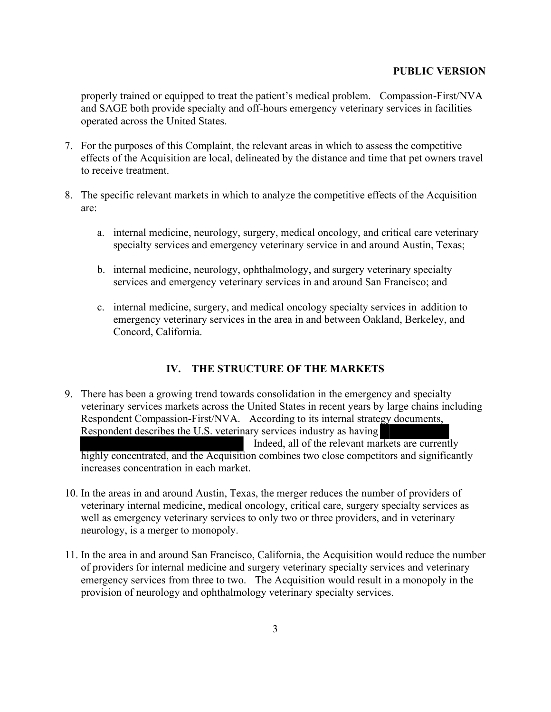### **PUBLIC VERSION**

properly trained or equipped to treat the patient's medical problem. Compassion-First/NVA and SAGE both provide specialty and off-hours emergency veterinary services in facilities operated across the United States.

- 7. For the purposes of this Complaint, the relevant areas in which to assess the competitive effects of the Acquisition are local, delineated by the distance and time that pet owners travel to receive treatment.
- 8. The specific relevant markets in which to analyze the competitive effects of the Acquisition are:
	- a. internal medicine, neurology, surgery, medical oncology, and critical care veterinary specialty services and emergency veterinary service in and around Austin, Texas;
	- b. internal medicine, neurology, ophthalmology, and surgery veterinary specialty services and emergency veterinary services in and around San Francisco; and
	- c. internal medicine, surgery, and medical oncology specialty services in addition to emergency veterinary services in the area in and between Oakland, Berkeley, and Concord, California.

# **IV. THE STRUCTURE OF THE MARKETS**

- 9. There has been a growing trend towards consolidation in the emergency and specialty veterinary services markets across the United States in recent years by large chains including Respondent Compassion-First/NVA. According to its internal strategy documents, Respondent describes the U.S. veterinary services industry as having Indeed, all of the relevant markets are currently highly concentrated, and the Acquisition combines two close competitors and significantly increases concentration in each market.
- 10. In the areas in and around Austin, Texas, the merger reduces the number of providers of veterinary internal medicine, medical oncology, critical care, surgery specialty services as well as emergency veterinary services to only two or three providers, and in veterinary neurology, is a merger to monopoly.
- 11. In the area in and around San Francisco, California, the Acquisition would reduce the number of providers for internal medicine and surgery veterinary specialty services and veterinary emergency services from three to two. The Acquisition would result in a monopoly in the provision of neurology and ophthalmology veterinary specialty services.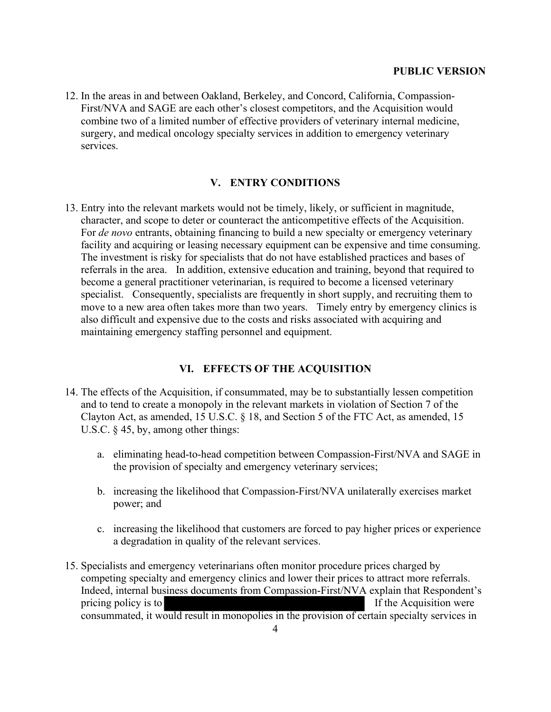12. In the areas in and between Oakland, Berkeley, and Concord, California, Compassion-First/NVA and SAGE are each other's closest competitors, and the Acquisition would combine two of a limited number of effective providers of veterinary internal medicine, surgery, and medical oncology specialty services in addition to emergency veterinary services.

## **V. ENTRY CONDITIONS**

13. Entry into the relevant markets would not be timely, likely, or sufficient in magnitude, character, and scope to deter or counteract the anticompetitive effects of the Acquisition. For *de novo* entrants, obtaining financing to build a new specialty or emergency veterinary facility and acquiring or leasing necessary equipment can be expensive and time consuming. The investment is risky for specialists that do not have established practices and bases of referrals in the area. In addition, extensive education and training, beyond that required to become a general practitioner veterinarian, is required to become a licensed veterinary specialist. Consequently, specialists are frequently in short supply, and recruiting them to move to a new area often takes more than two years. Timely entry by emergency clinics is also difficult and expensive due to the costs and risks associated with acquiring and maintaining emergency staffing personnel and equipment.

## **VI. EFFECTS OF THE ACQUISITION**

- 14. The effects of the Acquisition, if consummated, may be to substantially lessen competition and to tend to create a monopoly in the relevant markets in violation of Section 7 of the Clayton Act, as amended, 15 U.S.C. § 18, and Section 5 of the FTC Act, as amended, 15 U.S.C. § 45, by, among other things:
	- a. eliminating head-to-head competition between Compassion-First/NVA and SAGE in the provision of specialty and emergency veterinary services;
	- b. increasing the likelihood that Compassion-First/NVA unilaterally exercises market power; and
	- c. increasing the likelihood that customers are forced to pay higher prices or experience a degradation in quality of the relevant services.
- 15. Specialists and emergency veterinarians often monitor procedure prices charged by competing specialty and emergency clinics and lower their prices to attract more referrals. Indeed, internal business documents from Compassion-First/NVA explain that Respondent's pricing policy is to If the Acquisition were consummated, it would result in monopolies in the provision of certain specialty services in